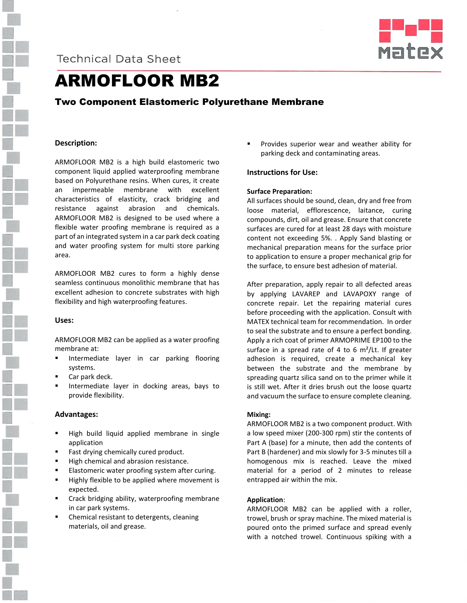

# **Technical Data Sheet**



# ARMOFLOOR MB2

# Two Component Elastomeric Polyurethane Membrane

# **Description:**

ARMOFLOOR MB2 is a high build elastomeric two component liquid applied waterproofing membrane based on Polyurethane resins. When cures, it create an impermeable membrane with excellent characteristics of elasticity, crack bridging and resistance against abrasion and chemicals. ARMOFLOOR MB2 is designed to be used where a flexible water proofing membrane is required as a part of an integrated system in a car park deck coating and water proofing system for multi store parking area.

ARMOFLOOR MB2 cures to form a highly dense seamless continuous monolithic membrane that has excellent adhesion to concrete substrates with high flexibility and high waterproofing features.

# **Uses:**

ARMOFLOOR MB2 can be applied as a water proofing membrane at:

- Intermediate layer in car parking flooring systems.
- Car park deck.
- Intermediate layer in docking areas, bays to provide flexibility.

# **Advantages:**

- High build liquid applied membrane in single application
- Fast drying chemically cured product.
- High chemical and abrasion resistance.
- Elastomeric water proofing system after curing.
- **Highly flexible to be applied where movement is** expected.
- Crack bridging ability, waterproofing membrane in car park systems.
- Chemical resistant to detergents, cleaning materials, oil and grease.

 Provides superior wear and weather ability for parking deck and contaminating areas.

# **Instructions for Use:**

#### **Surface Preparation:**

All surfaces should be sound, clean, dry and free from loose material, efflorescence, laitance, curing compounds, dirt, oil and grease. Ensure that concrete surfaces are cured for at least 28 days with moisture content not exceeding 5%. . Apply Sand blasting or mechanical preparation means for the surface prior to application to ensure a proper mechanical grip for the surface, to ensure best adhesion of material.

After preparation, apply repair to all defected areas by applying LAVAREP and LAVAPOXY range of concrete repair. Let the repairing material cures before proceeding with the application. Consult with MATEX technical team for recommendation. In order to seal the substrate and to ensure a perfect bonding. Apply a rich coat of primer ARMOPRIME EP100 to the surface in a spread rate of 4 to 6  $m^2$ /Lt. If greater adhesion is required, create a mechanical key between the substrate and the membrane by spreading quartz silica sand on to the primer while it is still wet. After it dries brush out the loose quartz and vacuum the surface to ensure complete cleaning.

#### **Mixing:**

ARMOFLOOR MB2 is a two component product. With a low speed mixer (200-300 rpm) stir the contents of Part A (base) for a minute, then add the contents of Part B (hardener) and mix slowly for 3-5 minutes till a homogenous mix is reached. Leave the mixed material for a period of 2 minutes to release entrapped air within the mix.

#### **Application**:

ARMOFLOOR MB2 can be applied with a roller, trowel, brush or spray machine. The mixed material is poured onto the primed surface and spread evenly with a notched trowel. Continuous spiking with a